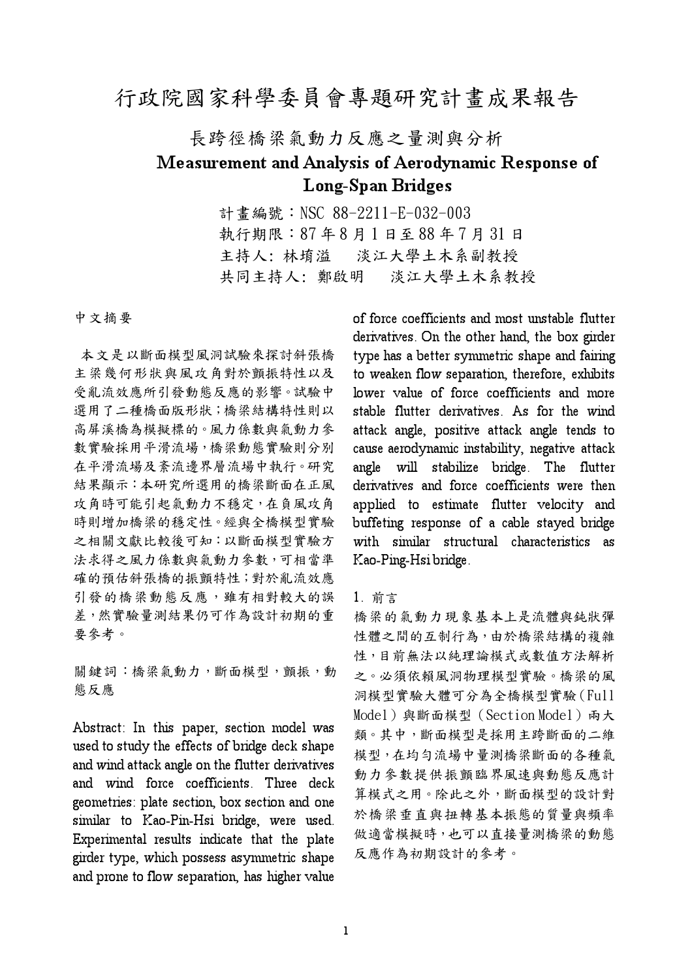## 行政院國家科學委員會專題研究計畫成果報告

# 長跨徑橋梁氣動力反應之量測與分析 Measurement and Analysis of Aerodynamic Response of **Long-Span Bridges**

計書編號: NSC 88-2211-E-032-003 執行期限: 87年8月1日至88年7月31日 主持人: 林堉溢 淡江大學土木系副教授 共同主持人: 鄭啟明 淡江大學土木系教授

中文摘要

本文是以斷面模型風洞試驗來探討斜張橋 主梁幾何形狀與風攻角對於顫振特性以及 受亂流效應所引發動態反應的影響。試驗中 選用了二種橋面版形狀;橋梁結構特性則以 高屏溪橋為模擬標的。風力係數與氣動力參 數實驗採用平滑流場,橋梁動態實驗則分別 在平滑流場及紊流邊界層流場中執行。研究 結果顯示:本研究所選用的橋梁斷面在正風 攻角時可能引起氣動力不穩定,在負風攻角 時則增加橋梁的穩定性。經與全橋模型實驗 之相關文獻比較後可知:以斷面模型實驗方 法求得之風力係數與氣動力參數,可相當準 確的預估斜張橋的振顫特性;對於亂流效應 引發的橋梁動態反應,雖有相對較大的誤 差,然實驗量測結果仍可作為設計初期的重 要參考。

關鍵詞:橋梁氣動力,斷面模型,顫振,動 態反應

Abstract: In this paper, section model was used to study the effects of bridge deck shape and wind attack angle on the flutter derivatives and wind force coefficients. Three deck geometries: plate section, box section and one similar to Kao-Pin-Hsi bridge, were used. Experimental results indicate that the plate girder type, which possess asymmetric shape and prone to flow separation, has higher value

of force coefficients and most unstable flutter derivatives. On the other hand, the box girder type has a better symmetric shape and fairing to weaken flow separation, therefore, exhibits lower value of force coefficients and more stable flutter derivatives. As for the wind attack angle, positive attack angle tends to cause aerodynamic instability, negative attack angle will stabilize bridge. The flutter derivatives and force coefficients were then applied to estimate flutter velocity and buffeting response of a cable stayed bridge with similar structural characteristics as Kao-Ping-Hsi bridge.

#### 1. 前言

橋梁的氣動力現象基本上是流體與鈍狀彈 性體之間的互制行為,由於橋梁結構的複雜 性,目前無法以純理論模式或數值方法解析 之。必須依賴風洞物理模型實驗。橋梁的風 洞模型實驗大體可分為全橋模型實驗(Full Model)與斷面模型 (Section Model) 兩大 類。其中,斷面模型是採用主跨斷面的二維 模型,在均匀流場中量測橋梁斷面的各種氣 動力參數提供振顫臨界風速與動態反應計 算模式之用。除此之外,斷面模型的設計對 於橋梁垂直與扭轉基本振態的質量與頻率 做適當模擬時,也可以直接量測橋梁的動態 反應作為初期設計的參考。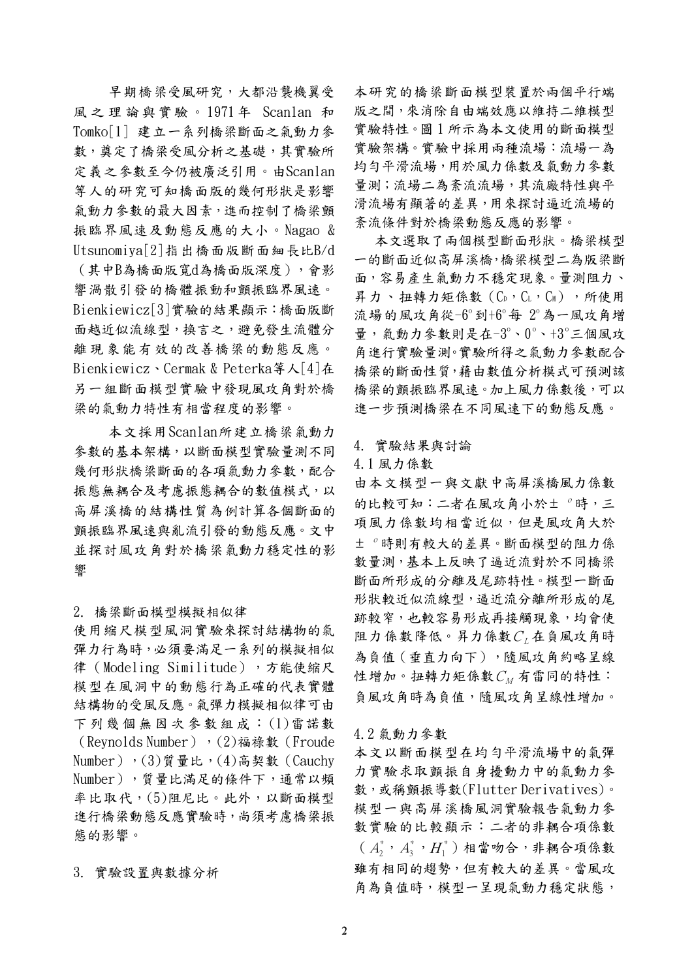早期橋梁受風研究,大都沿襲機翼受 風之理論與實驗。1971年 Scanlan 和 Tomko[1] 建立一系列橋梁斷面之氣動力參 數, 奠定了橋梁受風分析之基礎, 其實驗所 定義之參數至今仍被廣泛引用。由Scanlan 等人的研究可知橋面版的幾何形狀是影響 氯動力參數的最大因素,進而控制了橋梁顫 振臨界風速及動態反應的大小。Nagao & Utsunomiva[2]指出橋面版斷面細長比B/d (其中B為橋面版寬d為橋面版深度),會影 響渦散引發的橋體振動和顫振臨界風速。 Bienkiewicz[3]實驗的結果顯示:橋面版斷 面越近似流線型,換言之,避免發生流體分 離現象能有效的改善橋梁的動態反應。 Bienkiewicz、Cermak & Peterka等人[4]在 另一組斷面模型實驗中發現風攻角對於橋 梁的氣動力特性有相當程度的影響。

本文採用Scanlan所建立橋梁氣動力 參數的基本架構,以斷面模型實驗量測不同 幾何形狀橋梁斷面的各項氣動力參數,配合 振態無耦合及考慮振態耦合的數值模式,以 高屏溪橋的結構性質為例計算各個斷面的 顫振臨界風速與亂流引發的動態反應。文中 並探討風攻角對於橋梁氣動力穩定性的影 響

2. 橋梁斷面模型模擬相似律

使用縮尺模型風洞實驗來探討結構物的氣 彈力行為時,必須要滿足一系列的模擬相似 律 (Modeling Similitude),方能使缩尺 模型在風洞中的動態行為正確的代表實體 結構物的受風反應。氣彈力模擬相似律可由 下列幾個無因次參數組成:(1)雷諾數 (Revnolds Number), (2)福祿數 (Froude Number),  $(3)$ 質量比,  $(4)$ 高契數 (Cauchy Number), 質量比滿足的條件下, 通常以頻 率比取代,(5)阻尼比。此外,以斷面模型 進行橋梁動態反應實驗時,尚須考慮橋梁振 熊的影響。

3. 實驗設置與數據分析

本研究的橋梁斷面模型裝置於兩個平行端 版之間,來消除自由端效應以維持二維模型 實驗特性。圖1所示為本文使用的斷面模型 實驗架構。實驗中採用兩種流場:流場一為 均匀平滑流場,用於風力係數及氣動力參數 量測;流場二為紊流流場,其流廠特性與平 滑流場有顯著的差異,用來探討逼近流場的 紊流條件對於橋梁動態反應的影響。

本文選取了兩個模型斷面形狀。橋梁模型 一的斷面近似高屏溪橋,橋梁模型二為版梁斷 面,容易產生氣動力不穩定現象。量測阻力、 昇力、扭轉力矩係數(CD,CL,CM),所使用 流場的風攻角從-6°到+6°每 2°為一風攻角增 量,氣動力參數則是在-3°、0°、+3°三個風攻 角進行實驗量測。實驗所得之氣動力參數配合 橋梁的斷面性質, 藉由數值分析模式可預測該 橋梁的顫振臨界風速。加上風力係數後,可以 進一步預測橋梁在不同風速下的動態反應。

#### 4. 實驗結果與討論

4.1風力係數

由本文模型一與文獻中高屏溪橋風力係數 的比較可知:二者在風攻角小於土。時,三 項風力係數均相當近似,但是風攻角大於 土。時則有較大的差異。斷面模型的阻力係 數量測,基本上反映了逼近流對於不同橋梁 斷面所形成的分離及尾跡特性。模型一斷面 形狀較近似流線型,逼近流分離所形成的尾 跡較窄,也較容易形成再接觸現象,均會使 阻力係數降低。昇力係數 $C_L$ 在負風攻角時 為負值(垂直力向下),隨風攻角約略呈線 性增加。扭轉力矩係數 $C_M$ 有雷同的特性: 負風攻角時為負值,隨風攻角呈線性增加。

4.2 氯動力參數

本文以斷面模型在均勻平滑流場中的氣彈 力實驗求取顫振自身擾動力中的氣動力參 數,或稱顫振導數(Flutter Derivatives)。 模型一與高屏溪橋風洞實驗報告氣動力參 數實驗的比較顯示:二者的非耦合項係數  $(A_{2}^{*}, A_{3}^{*}, H_{1}^{*})$ 相當吻合,非耦合項係數 雖有相同的趨勢,但有較大的差異。當風攻 角為負值時,模型一呈現氣動力穩定狀態,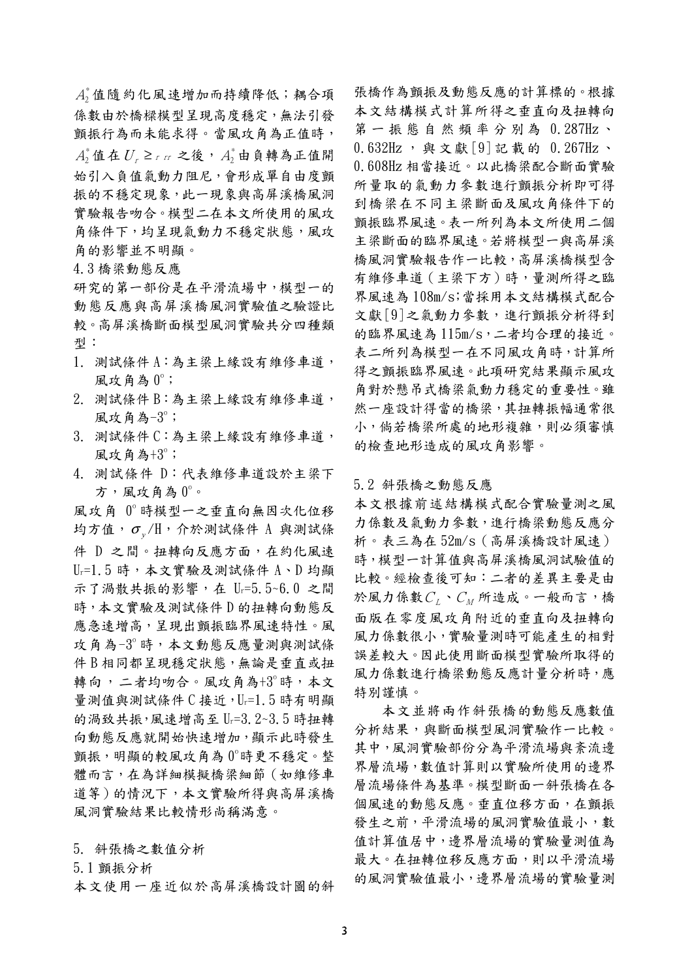A3值隨約化風速增加而持續降低;耦合項 係數由於橋樑模型呈現高度穩定,無法引發 顫振行為而未能求得。當風攻角為正值時,  $A_2^*$ 值在 $U_r$  ≥ r rr 之後,  $A_2^*$ 由負轉為正值開 始引入負值氣動力阻尼,會形成單自由度顫 振的不穩定現象,此一現象與高屏溪橋風洞 實驗報告吻合。模型二在本文所使用的風攻 角條件下,均呈現氣動力不穩定狀態,風攻 角的影響並不明顯。

4.3橋梁動態反應

研究的第一部份是在平滑流場中,模型一的 動態反應與高屏溪橋風洞實驗值之驗證比 較。高屏溪橋斷面模型風洞實驗共分四種類 型:

- 1. 測試條件 A:為主梁上緣設有維修車道, 風攻角為 0°;
- 2. 測試條件B:為主梁上緣設有維修車道, 風攻角為-3°;
- 3. 測試條件 C:為主梁上緣設有維修車道, 風攻角為+3°;
- 4. 測試條件 D:代表維修車道設於主梁下 方,風攻角為0°。

風攻角 0°時模型一之垂直向無因次化位移 均方值, σ H, 介於測試條件 A 與測試條 件 D 之間。扭轉向反應方面, 在約化風速  $U_r = 1.5$ 時, 本文實驗及測試條件 A、D 均顯 示了渦散共振的影響, 在 U-=5.5~6.0 之間 時,本文實驗及測試條件D的扭轉向動態反 應急速增高,呈現出顫振臨界風速特性。風 攻角為-3°時,本文動態反應量測與測試條 件B相同都呈現穩定狀態,無論是垂直或扭 轉向,二者均吻合。風攻角為+3°時,本文 量測值與測試條件 C 接近, Ur=1.5 時有明顯 的渦致共振,風速增高至 Ur=3.2~3.5時扭轉 向動熊反應就開始快速增加,顯示此時發生 顫振,明顯的較風攻角為 0°時更不穩定。整 體而言,在為詳細模擬橋梁細節 (如維修車 道等)的情況下,本文實驗所得與高屏溪橋 風洞實驗結果比較情形尚稱滿意。

5. 斜張橋之數值分析

5.1 顫振分析

本文使用一座近似於高屏溪橋設計圖的斜

張橋作為顫振及動態反應的計算標的。根據 本文結構模式計算所得之垂直向及扭轉向 第一振態自然頻率分別為 0.287Hz、 0.632Hz, 與文獻[9]記載的 0.267Hz、 0.608Hz相當接近。以此橋梁配合斷面實驗 所量取的氯動力參數進行顫振分析即可得 到橋梁在不同主梁斷面及風攻角條件下的 颤振臨界風速。表一所列為本文所使用二個 主梁斷面的臨界風速。若將模型一與高屏溪 橋風洞實驗報告作一比較,高屏溪橋模型含 有維修車道 (主梁下方)時,量測所得之臨 界風速為108m/s;當採用本文結構模式配合 文獻[9]之氣動力參數,進行顫振分析得到 的臨界風速為115m/s,二者均合理的接近。 表二所列為模型一在不同風攻角時,計算所 得之顫振臨界風速。此項研究結果顯示風攻 角對於懸吊式橋梁氣動力穩定的重要性。雖 然一座設計得當的橋梁,其扭轉振幅通常很 小,倘若橋梁所處的地形複雜,則必須審慎 的檢查地形造成的風攻角影響。

5.2 斜張橋之動態反應

本文根據前述結構模式配合實驗量測之風 力係數及氣動力參數,進行橋梁動態反應分 析。表三為在52m/s (高屏溪橋設計風速) 時,模型一計算值與高屏溪橋風洞試驗值的 比較。經檢查後可知:二者的差異主要是由 於風力係數 $C_L \cdot C_M$ 所造成。一般而言,橋 面版在零度風攻角附近的垂直向及扭轉向 風力係數很小,實驗量測時可能產生的相對 誤差較大。因此使用斷面模型實驗所取得的 風力係數進行橋梁動態反應計量分析時,應 特別謹慎。

本文並將兩作斜張橋的動態反應數值 分析結果,與斷面模型風洞實驗作一比較。 其中,風洞實驗部份分為平滑流場與紊流邊 界層流場,數值計算則以實驗所使用的邊界 層流場條件為基準。模型斷面一斜張橋在各 個風速的動態反應。垂直位移方面,在顫振 發生之前,平滑流場的風洞實驗值最小,數 值計算值居中,邊界層流場的實驗量測值為 最大。在扭轉位移反應方面,則以平滑流場 的風洞實驗值最小,邊界層流場的實驗量測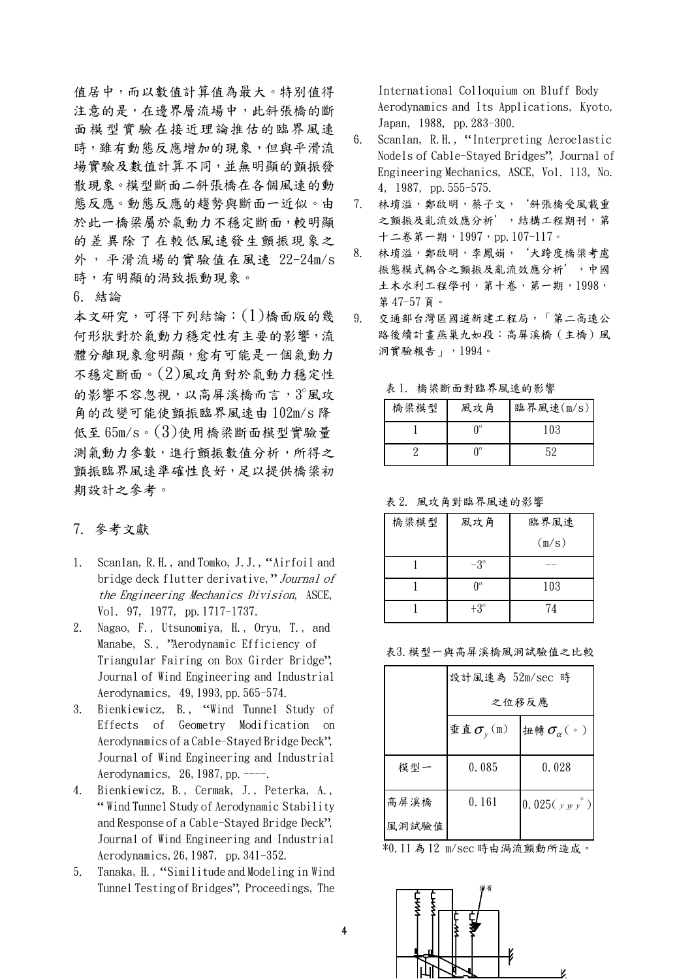值居中,而以數值計算值為最大。特別值得 注意的是,在邊界層流場中,此斜張橋的斷 面模型實驗在接近理論推估的臨界風速 時,雖有動態反應增加的現象,但與平滑流 場實驗及數值計算不同,並無明顯的顫振發 散現象。模型斷面二斜張橋在各個風速的動 態反應。動態反應的趨勢與斷面一近似。由 於此一橋梁屬於氣動力不穩定斷面,較明顯 的差異除了在較低風速發生顫振現象之 外,平滑流場的實驗值在風速 22-24m/s 時,有明顯的渦致振動現象。

6. 結論

本文研究,可得下列結論: (1)橋面版的幾 何形狀對於氣動力穩定性有主要的影響,流 體分離現象愈明顯,愈有可能是一個氣動力 不穩定斷面。(2)風攻角對於氣動力穩定性 的影響不容忽視,以高屏溪橋而言,3°風攻 角的改變可能使顫振臨界風速由 102m/s 降 低至 65m/s。(3)使用橋梁斷面模型實驗量 測氣動力參數,進行顫振數值分析,所得之 顫振臨界風速準確性良好,足以提供橋梁初 期設計之參考。

### 7. 參考文獻

- Scanlan, R.H., and Tomko, J.J., "Airfoil and 1. bridge deck flutter derivative," Journal of the Engineering Mechanics Division, ASCE, Vol. 97, 1977, pp. 1717-1737.
- 2. Nagao, F., Utsunomiya, H., Oryu, T., and Manabe, S., "Aerodynamic Efficiency of Triangular Fairing on Box Girder Bridge", Journal of Wind Engineering and Industrial Aerodynamics, 49, 1993, pp. 565-574.
- $3.$ Bienkiewicz, B., "Wind Tunnel Study of Effects of Geometry Modification on Aerodynamics of a Cable-Stayed Bridge Deck", Journal of Wind Engineering and Industrial Aerodynamics, 26, 1987, pp.  $---$ .
- 4. Bienkiewicz, B., Cermak, J., Peterka, A., "Wind Tunnel Study of Aerodynamic Stability and Response of a Cable-Staved Bridge Deck". Journal of Wind Engineering and Industrial Aerodynamics, 26, 1987, pp. 341-352.
- $5.$ Tanaka, H., "Similitude and Modeling in Wind Tunnel Testing of Bridges", Proceedings, The

International Colloquium on Bluff Body Aerodynamics and Its Applications, Kyoto, Japan, 1988, pp. 283-300.

- $6.$ Scanlan, R.H., "Interpreting Aeroelastic Nodels of Cable-Stayed Bridges", Journal of Engineering Mechanics, ASCE, Vol. 113, No. 4, 1987, pp. 555-575.
- 林堉溢, 鄭啟明, 蔡子文, '斜張橋受風載重 7. 之顫振及亂流效應分析',結構工程期刊,第 十二卷第一期, 1997, pp. 107-117。
- 林堉溢,鄭啟明,李鳳娟,'大跨度橋梁考慮 8. 振態模式耦合之顫振及亂流效應分析',中國 土木水利工程學刊,第十卷,第一期,1998, 第47-57頁。
- 9. 交通部台灣區國道新建工程局,「第二高速公 路後續計畫燕巢九如段:高屏溪橋 (主橋)風 洞實驗報告」,1994。

| 橋梁模型 | 11. 17 77 80 80 80 40 40 70 78 20 80 70 70 7<br>風攻角 | 臨界風速(m/s) |
|------|-----------------------------------------------------|-----------|
|      | ∩∘                                                  | 103       |
|      | ∩°                                                  | 52        |

表1 棒梁斷而對臨界国谏的影響

表 2. 風攻角對臨界風速的影響

| 橋梁模型 | 風攻角        | 臨界風速  |
|------|------------|-------|
|      |            | (m/s) |
|      | $-3^\circ$ |       |
|      | Λ°         | 103   |
|      | $+3^\circ$ | 74    |

表3. 模型一與高屏溪橋風洞試驗值之比較

|       | 設計風速為 52m/sec 時                           |                                 |  |
|-------|-------------------------------------------|---------------------------------|--|
|       | 之位移反應                                     |                                 |  |
|       | 垂直 $\sigma_{\scriptscriptstyle v}^{}$ (m) | 扭轉 $\sigma_{\alpha}(\ \cdot\ )$ |  |
|       |                                           |                                 |  |
| 模型一   | 0.085                                     | 0.028                           |  |
|       |                                           |                                 |  |
| 高屏溪橋  | 0.161                                     | $0.025(y_{yy}^{\ast})$          |  |
| 風洞試驗值 |                                           |                                 |  |

\*0.11 為12 m/sec 時由渦流顫動所造成。